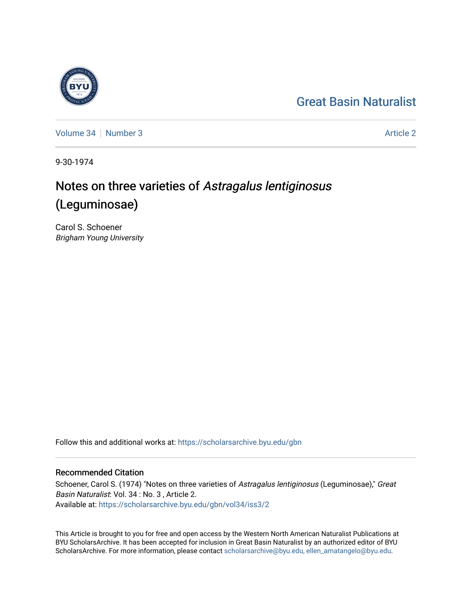## [Great Basin Naturalist](https://scholarsarchive.byu.edu/gbn)

[Volume 34](https://scholarsarchive.byu.edu/gbn/vol34) | [Number 3](https://scholarsarchive.byu.edu/gbn/vol34/iss3) [Article 2](https://scholarsarchive.byu.edu/gbn/vol34/iss3/2) Article 2 Article 2 Article 2 Article 2 Article 2 Article 2 Article 2

9-30-1974

# Notes on three varieties of Astragalus lentiginosus (Leguminosae)

Carol S. Schoener Brigham Young University

Follow this and additional works at: [https://scholarsarchive.byu.edu/gbn](https://scholarsarchive.byu.edu/gbn?utm_source=scholarsarchive.byu.edu%2Fgbn%2Fvol34%2Fiss3%2F2&utm_medium=PDF&utm_campaign=PDFCoverPages) 

## Recommended Citation

Schoener, Carol S. (1974) "Notes on three varieties of Astragalus lentiginosus (Leguminosae)," Great Basin Naturalist: Vol. 34 : No. 3 , Article 2. Available at: [https://scholarsarchive.byu.edu/gbn/vol34/iss3/2](https://scholarsarchive.byu.edu/gbn/vol34/iss3/2?utm_source=scholarsarchive.byu.edu%2Fgbn%2Fvol34%2Fiss3%2F2&utm_medium=PDF&utm_campaign=PDFCoverPages)

This Article is brought to you for free and open access by the Western North American Naturalist Publications at BYU ScholarsArchive. It has been accepted for inclusion in Great Basin Naturalist by an authorized editor of BYU ScholarsArchive. For more information, please contact [scholarsarchive@byu.edu, ellen\\_amatangelo@byu.edu.](mailto:scholarsarchive@byu.edu,%20ellen_amatangelo@byu.edu)